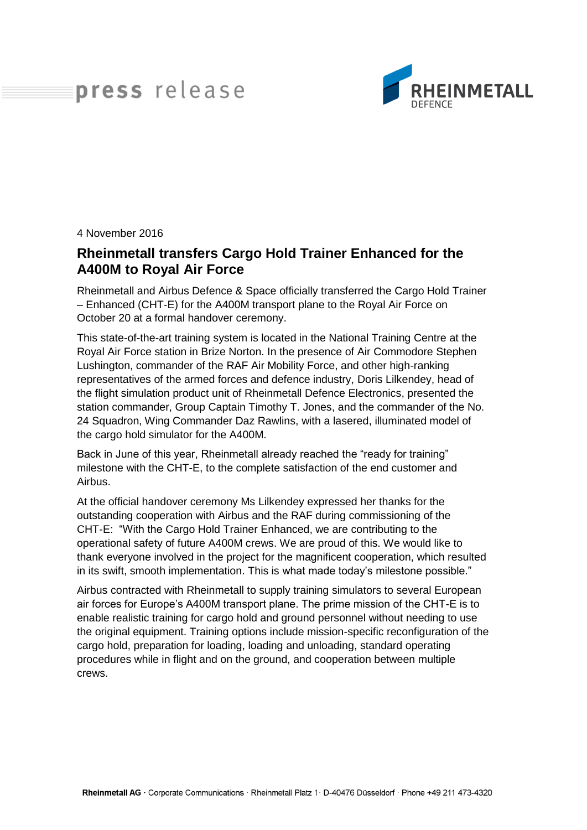## press release



4 November 2016

## **Rheinmetall transfers Cargo Hold Trainer Enhanced for the A400M to Royal Air Force**

Rheinmetall and Airbus Defence & Space officially transferred the Cargo Hold Trainer – Enhanced (CHT-E) for the A400M transport plane to the Royal Air Force on October 20 at a formal handover ceremony.

This state-of-the-art training system is located in the National Training Centre at the Royal Air Force station in Brize Norton. In the presence of Air Commodore Stephen Lushington, commander of the RAF Air Mobility Force, and other high-ranking representatives of the armed forces and defence industry, Doris Lilkendey, head of the flight simulation product unit of Rheinmetall Defence Electronics, presented the station commander, Group Captain Timothy T. Jones, and the commander of the No. 24 Squadron, Wing Commander Daz Rawlins, with a lasered, illuminated model of the cargo hold simulator for the A400M.

Back in June of this year, Rheinmetall already reached the "ready for training" milestone with the CHT-E, to the complete satisfaction of the end customer and Airbus.

At the official handover ceremony Ms Lilkendey expressed her thanks for the outstanding cooperation with Airbus and the RAF during commissioning of the CHT-E: "With the Cargo Hold Trainer Enhanced, we are contributing to the operational safety of future A400M crews. We are proud of this. We would like to thank everyone involved in the project for the magnificent cooperation, which resulted in its swift, smooth implementation. This is what made today's milestone possible."

Airbus contracted with Rheinmetall to supply training simulators to several European air forces for Europe's A400M transport plane. The prime mission of the CHT-E is to enable realistic training for cargo hold and ground personnel without needing to use the original equipment. Training options include mission-specific reconfiguration of the cargo hold, preparation for loading, loading and unloading, standard operating procedures while in flight and on the ground, and cooperation between multiple crews.